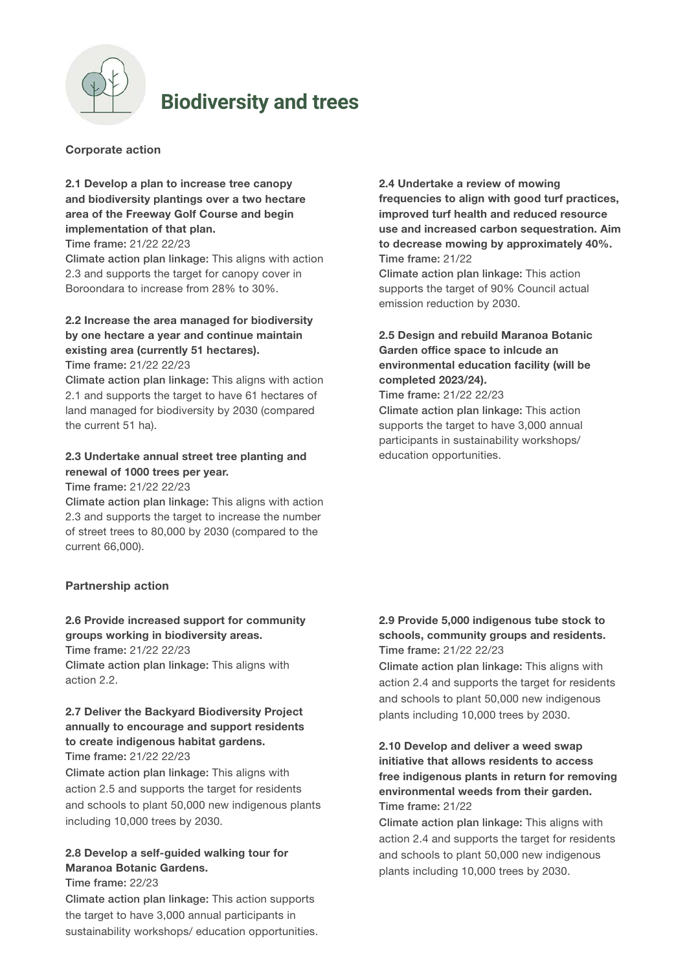

# **Biodiversity and trees**

### Corporate action

# 2.1 Develop a plan to increase tree canopy and biodiversity plantings over a two hectare area of the Freeway Golf Course and begin implementation of that plan.

Time frame: 21/22 22/23

Climate action plan linkage: This aligns with action 2.3 and supports the target for canopy cover in Boroondara to increase from 28% to 30%.

# 2.2 Increase the area managed for biodiversity by one hectare a year and continue maintain existing area (currently 51 hectares).

Time frame: 21/22 22/23

Climate action plan linkage: This aligns with action 2.1 and supports the target to have 61 hectares of land managed for biodiversity by 2030 (compared the current 51 ha).

## 2.3 Undertake annual street tree planting and renewal of 1000 trees per year.

Time frame: 21/22 22/23

Climate action plan linkage: This aligns with action 2.3 and supports the target to increase the number of street trees to 80,000 by 2030 (compared to the current 66,000).

#### Partnership action

## 2.6 Provide increased support for community groups working in biodiversity areas.

Time frame: 21/22 22/23 Climate action plan linkage: This aligns with action 2.2.

# 2.7 Deliver the Backyard Biodiversity Project annually to encourage and support residents to create indigenous habitat gardens.

Time frame: 21/22 22/23

Climate action plan linkage: This aligns with action 2.5 and supports the target for residents and schools to plant 50,000 new indigenous plants including 10,000 trees by 2030.

#### 2.8 Develop a self-guided walking tour for Maranoa Botanic Gardens. Time frame: 22/23

Climate action plan linkage: This action supports the target to have 3,000 annual participants in sustainability workshops/ education opportunities. 2.4 Undertake a review of mowing frequencies to align with good turf practices, improved turf health and reduced resource use and increased carbon sequestration. Aim to decrease mowing by approximately 40%. Time frame: 21/22

Climate action plan linkage: This action supports the target of 90% Council actual emission reduction by 2030.

## 2.5 Design and rebuild Maranoa Botanic Garden office space to inlcude an environmental education facility (will be completed 2023/24).

Time frame: 21/22 22/23 Climate action plan linkage: This action supports the target to have 3,000 annual participants in sustainability workshops/ education opportunities.

## 2.9 Provide 5,000 indigenous tube stock to schools, community groups and residents. Time frame: 21/22 22/23

Climate action plan linkage: This aligns with action 2.4 and supports the target for residents and schools to plant 50,000 new indigenous plants including 10,000 trees by 2030.

## 2.10 Develop and deliver a weed swap initiative that allows residents to access free indigenous plants in return for removing environmental weeds from their garden. Time frame: 21/22

Climate action plan linkage: This aligns with action 2.4 and supports the target for residents and schools to plant 50,000 new indigenous plants including 10,000 trees by 2030.